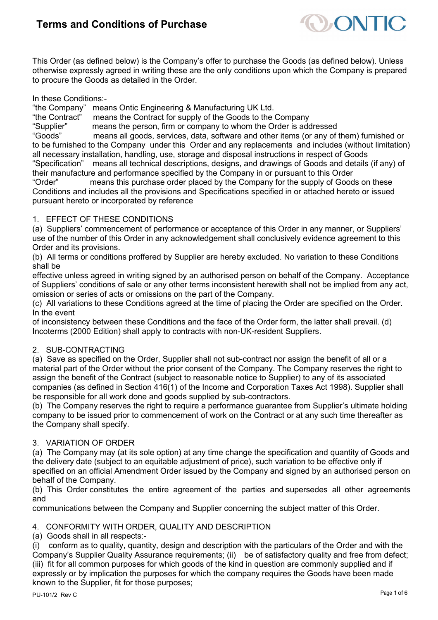

This Order (as defined below) is the Company's offer to purchase the Goods (as defined below). Unless otherwise expressly agreed in writing these are the only conditions upon which the Company is prepared to procure the Goods as detailed in the Order.

In these Conditions:-

"the Company" means Ontic Engineering & Manufacturing UK Ltd.

"the Contract" means the Contract for supply of the Goods to the Company

"Supplier" means the person, firm or company to whom the Order is addressed means all goods, services, data, software and other items (or any of them) furnished or to be furnished to the Company under this Order and any replacements and includes (without limitation) all necessary installation, handling, use, storage and disposal instructions in respect of Goods means all technical descriptions, designs, and drawings of Goods and details (if any) of their manufacture and performance specified by the Company in or pursuant to this Order<br>"Order" means this purchase order placed by the Company for the supply of Good

means this purchase order placed by the Company for the supply of Goods on these Conditions and includes all the provisions and Specifications specified in or attached hereto or issued pursuant hereto or incorporated by reference

### 1. EFFECT OF THESE CONDITIONS

(a) Suppliers' commencement of performance or acceptance of this Order in any manner, or Suppliers' use of the number of this Order in any acknowledgement shall conclusively evidence agreement to this Order and its provisions.

(b) All terms or conditions proffered by Supplier are hereby excluded. No variation to these Conditions shall be

effective unless agreed in writing signed by an authorised person on behalf of the Company. Acceptance of Suppliers' conditions of sale or any other terms inconsistent herewith shall not be implied from any act, omission or series of acts or omissions on the part of the Company.

(c) All variations to these Conditions agreed at the time of placing the Order are specified on the Order. In the event

of inconsistency between these Conditions and the face of the Order form, the latter shall prevail. (d) Incoterms (2000 Edition) shall apply to contracts with non-UK-resident Suppliers.

## 2. SUB-CONTRACTING

(a) Save as specified on the Order, Supplier shall not sub-contract nor assign the benefit of all or a material part of the Order without the prior consent of the Company. The Company reserves the right to assign the benefit of the Contract (subject to reasonable notice to Supplier) to any of its associated companies (as defined in Section 416(1) of the Income and Corporation Taxes Act 1998). Supplier shall be responsible for all work done and goods supplied by sub-contractors.

(b) The Company reserves the right to require a performance guarantee from Supplier's ultimate holding company to be issued prior to commencement of work on the Contract or at any such time thereafter as the Company shall specify.

### 3. VARIATION OF ORDER

(a) The Company may (at its sole option) at any time change the specification and quantity of Goods and the delivery date (subject to an equitable adjustment of price), such variation to be effective only if specified on an official Amendment Order issued by the Company and signed by an authorised person on behalf of the Company.

(b) This Order constitutes the entire agreement of the parties and supersedes all other agreements and

communications between the Company and Supplier concerning the subject matter of this Order.

### 4. CONFORMITY WITH ORDER, QUALITY AND DESCRIPTION

(a) Goods shall in all respects:-

(i) conform as to quality, quantity, design and description with the particulars of the Order and with the Company's Supplier Quality Assurance requirements; (ii) be of satisfactory quality and free from defect; (iii) fit for all common purposes for which goods of the kind in question are commonly supplied and if expressly or by implication the purposes for which the company requires the Goods have been made known to the Supplier, fit for those purposes;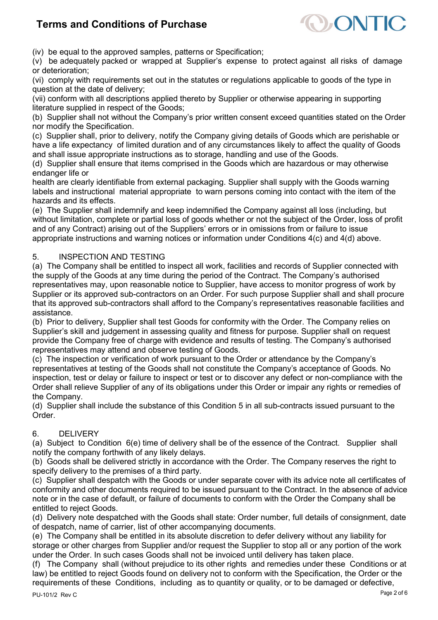

(iv) be equal to the approved samples, patterns or Specification;

(v) be adequately packed or wrapped at Supplier's expense to protect against all risks of damage or deterioration;

(vi) comply with requirements set out in the statutes or regulations applicable to goods of the type in question at the date of delivery;

(vii) conform with all descriptions applied thereto by Supplier or otherwise appearing in supporting literature supplied in respect of the Goods;

(b) Supplier shall not without the Company's prior written consent exceed quantities stated on the Order nor modify the Specification.

(c) Supplier shall, prior to delivery, notify the Company giving details of Goods which are perishable or have a life expectancy of limited duration and of any circumstances likely to affect the quality of Goods and shall issue appropriate instructions as to storage, handling and use of the Goods.

(d) Supplier shall ensure that items comprised in the Goods which are hazardous or may otherwise endanger life or

health are clearly identifiable from external packaging. Supplier shall supply with the Goods warning labels and instructional material appropriate to warn persons coming into contact with the item of the hazards and its effects.

(e) The Supplier shall indemnify and keep indemnified the Company against all loss (including, but without limitation, complete or partial loss of goods whether or not the subject of the Order, loss of profit and of any Contract) arising out of the Suppliers' errors or in omissions from or failure to issue appropriate instructions and warning notices or information under Conditions 4(c) and 4(d) above.

### 5. INSPECTION AND TESTING

(a) The Company shall be entitled to inspect all work, facilities and records of Supplier connected with the supply of the Goods at any time during the period of the Contract. The Company's authorised representatives may, upon reasonable notice to Supplier, have access to monitor progress of work by Supplier or its approved sub-contractors on an Order. For such purpose Supplier shall and shall procure that its approved sub-contractors shall afford to the Company's representatives reasonable facilities and assistance.

(b) Prior to delivery, Supplier shall test Goods for conformity with the Order. The Company relies on Supplier's skill and judgement in assessing quality and fitness for purpose. Supplier shall on request provide the Company free of charge with evidence and results of testing. The Company's authorised representatives may attend and observe testing of Goods.

(c) The inspection or verification of work pursuant to the Order or attendance by the Company's representatives at testing of the Goods shall not constitute the Company's acceptance of Goods. No inspection, test or delay or failure to inspect or test or to discover any defect or non-compliance with the Order shall relieve Supplier of any of its obligations under this Order or impair any rights or remedies of the Company.

(d) Supplier shall include the substance of this Condition 5 in all sub-contracts issued pursuant to the Order.

### 6. DELIVERY

(a) Subject to Condition 6(e) time of delivery shall be of the essence of the Contract. Supplier shall notify the company forthwith of any likely delays.

(b) Goods shall be delivered strictly in accordance with the Order. The Company reserves the right to specify delivery to the premises of a third party.

(c) Supplier shall despatch with the Goods or under separate cover with its advice note all certificates of conformity and other documents required to be issued pursuant to the Contract. In the absence of advice note or in the case of default, or failure of documents to conform with the Order the Company shall be entitled to reject Goods.

(d) Delivery note despatched with the Goods shall state: Order number, full details of consignment, date of despatch, name of carrier, list of other accompanying documents.

(e) The Company shall be entitled in its absolute discretion to defer delivery without any liability for storage or other charges from Supplier and/or request the Supplier to stop all or any portion of the work under the Order. In such cases Goods shall not be invoiced until delivery has taken place.

(f) The Company shall (without prejudice to its other rights and remedies under these Conditions or at law) be entitled to reject Goods found on delivery not to conform with the Specification, the Order or the requirements of these Conditions, including as to quantity or quality, or to be damaged or defective,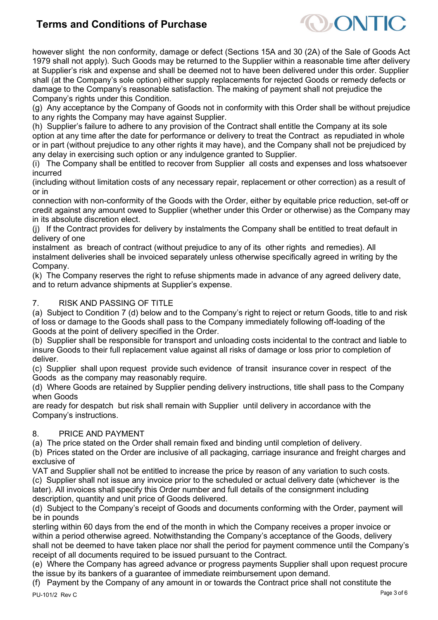

however slight the non conformity, damage or defect (Sections 15A and 30 (2A) of the Sale of Goods Act 1979 shall not apply). Such Goods may be returned to the Supplier within a reasonable time after delivery at Supplier's risk and expense and shall be deemed not to have been delivered under this order. Supplier shall (at the Company's sole option) either supply replacements for rejected Goods or remedy defects or damage to the Company's reasonable satisfaction. The making of payment shall not prejudice the Company's rights under this Condition.

(g) Any acceptance by the Company of Goods not in conformity with this Order shall be without prejudice to any rights the Company may have against Supplier.

(h) Supplier's failure to adhere to any provision of the Contract shall entitle the Company at its sole option at any time after the date for performance or delivery to treat the Contract as repudiated in whole or in part (without prejudice to any other rights it may have), and the Company shall not be prejudiced by any delay in exercising such option or any indulgence granted to Supplier.

(i) The Company shall be entitled to recover from Supplier all costs and expenses and loss whatsoever incurred

(including without limitation costs of any necessary repair, replacement or other correction) as a result of or in

connection with non-conformity of the Goods with the Order, either by equitable price reduction, set-off or credit against any amount owed to Supplier (whether under this Order or otherwise) as the Company may in its absolute discretion elect.

(j) If the Contract provides for delivery by instalments the Company shall be entitled to treat default in delivery of one

instalment as breach of contract (without prejudice to any of its other rights and remedies). All instalment deliveries shall be invoiced separately unless otherwise specifically agreed in writing by the Company.

(k) The Company reserves the right to refuse shipments made in advance of any agreed delivery date, and to return advance shipments at Supplier's expense.

## 7. RISK AND PASSING OF TITLE

(a) Subject to Condition 7 (d) below and to the Company's right to reject or return Goods, title to and risk of loss or damage to the Goods shall pass to the Company immediately following off-loading of the Goods at the point of delivery specified in the Order.

(b) Supplier shall be responsible for transport and unloading costs incidental to the contract and liable to insure Goods to their full replacement value against all risks of damage or loss prior to completion of deliver.

(c) Supplier shall upon request provide such evidence of transit insurance cover in respect of the Goods as the company may reasonably require.

(d) Where Goods are retained by Supplier pending delivery instructions, title shall pass to the Company when Goods

are ready for despatch but risk shall remain with Supplier until delivery in accordance with the Company's instructions.

### 8. PRICE AND PAYMENT

(a) The price stated on the Order shall remain fixed and binding until completion of delivery.

(b) Prices stated on the Order are inclusive of all packaging, carriage insurance and freight charges and exclusive of

VAT and Supplier shall not be entitled to increase the price by reason of any variation to such costs. (c) Supplier shall not issue any invoice prior to the scheduled or actual delivery date (whichever is the later). All invoices shall specify this Order number and full details of the consignment including description, quantity and unit price of Goods delivered.

(d) Subject to the Company's receipt of Goods and documents conforming with the Order, payment will be in pounds

sterling within 60 days from the end of the month in which the Company receives a proper invoice or within a period otherwise agreed. Notwithstanding the Company's acceptance of the Goods, delivery shall not be deemed to have taken place nor shall the period for payment commence until the Company's receipt of all documents required to be issued pursuant to the Contract.

(e) Where the Company has agreed advance or progress payments Supplier shall upon request procure the issue by its bankers of a guarantee of immediate reimbursement upon demand.

(f) Payment by the Company of any amount in or towards the Contract price shall not constitute the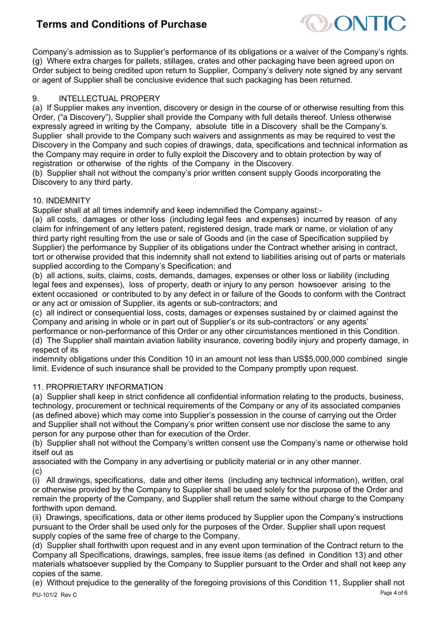

Company's admission as to Supplier's performance of its obligations or a waiver of the Company's rights. (g) Where extra charges for pallets, stillages, crates and other packaging have been agreed upon on Order subject to being credited upon return to Supplier, Company's delivery note signed by any servant or agent of Supplier shall be conclusive evidence that such packaging has been returned.

## 9. INTELLECTUAL PROPERY

(a) If Supplier makes any invention, discovery or design in the course of or otherwise resulting from this Order, ("a Discovery"), Supplier shall provide the Company with full details thereof. Unless otherwise expressly agreed in writing by the Company, absolute title in a Discovery shall be the Company's. Supplier shall provide to the Company such waivers and assignments as may be required to vest the Discovery in the Company and such copies of drawings, data, specifications and technical information as the Company may require in order to fully exploit the Discovery and to obtain protection by way of registration or otherwise of the rights of the Company in the Discovery.

(b) Supplier shall not without the company's prior written consent supply Goods incorporating the Discovery to any third party.

### 10. INDEMNITY

Supplier shall at all times indemnify and keep indemnified the Company against:-

(a) all costs, damages or other loss (including legal fees and expenses) incurred by reason of any claim for infringement of any letters patent, registered design, trade mark or name, or violation of any third party right resulting from the use or sale of Goods and (in the case of Specification supplied by Supplier) the performance by Supplier of its obligations under the Contract whether arising in contract, tort or otherwise provided that this indemnity shall not extend to liabilities arising out of parts or materials supplied according to the Company's Specification; and

(b) all actions, suits, claims, costs, demands, damages, expenses or other loss or liability (including legal fees and expenses), loss of property, death or injury to any person howsoever arising to the extent occasioned or contributed to by any defect in or failure of the Goods to conform with the Contract or any act or omission of Supplier, its agents or sub-contractors; and

(c) all indirect or consequential loss, costs, damages or expenses sustained by or claimed against the Company and arising in whole or in part out of Supplier's or its sub-contractors' or any agents'

performance or non-performance of this Order or any other circumstances mentioned in this Condition. (d) The Supplier shall maintain aviation liability insurance, covering bodily injury and property damage, in respect of its

indemnity obligations under this Condition 10 in an amount not less than US\$5,000,000 combined single limit. Evidence of such insurance shall be provided to the Company promptly upon request.

### 11. PROPRIETARY INFORMATION

(a) Supplier shall keep in strict confidence all confidential information relating to the products, business, technology, procurement or technical requirements of the Company or any of its associated companies (as defined above) which may come into Supplier's possession in the course of carrying out the Order and Supplier shall not without the Company's prior written consent use nor disclose the same to any person for any purpose other than for execution of the Order.

(b) Supplier shall not without the Company's written consent use the Company's name or otherwise hold itself out as

associated with the Company in any advertising or publicity material or in any other manner. (c)

(i) All drawings, specifications, date and other items (including any technical information), written, oral or otherwise provided by the Company to Supplier shall be used solely for the purpose of the Order and remain the property of the Company, and Supplier shall return the same without charge to the Company forthwith upon demand.

(ii) Drawings, specifications, data or other items produced by Supplier upon the Company's instructions pursuant to the Order shall be used only for the purposes of the Order. Supplier shall upon request supply copies of the same free of charge to the Company.

(d) Supplier shall forthwith upon request and in any event upon termination of the Contract return to the Company all Specifications, drawings, samples, free issue items (as defined in Condition 13) and other materials whatsoever supplied by the Company to Supplier pursuant to the Order and shall not keep any copies of the same.

Page 4 of 6 PU-101/2 Rev C (e) Without prejudice to the generality of the foregoing provisions of this Condition 11, Supplier shall not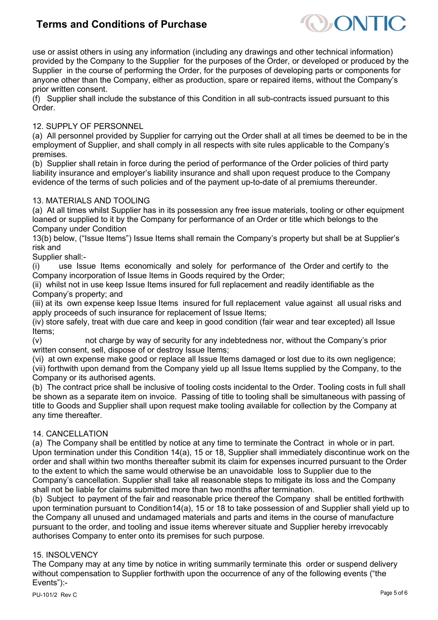

use or assist others in using any information (including any drawings and other technical information) provided by the Company to the Supplier for the purposes of the Order, or developed or produced by the Supplier in the course of performing the Order, for the purposes of developing parts or components for anyone other than the Company, either as production, spare or repaired items, without the Company's prior written consent.

(f) Supplier shall include the substance of this Condition in all sub-contracts issued pursuant to this Order.

### 12. SUPPLY OF PERSONNEL

(a) All personnel provided by Supplier for carrying out the Order shall at all times be deemed to be in the employment of Supplier, and shall comply in all respects with site rules applicable to the Company's premises.

(b) Supplier shall retain in force during the period of performance of the Order policies of third party liability insurance and employer's liability insurance and shall upon request produce to the Company evidence of the terms of such policies and of the payment up-to-date of al premiums thereunder.

### 13. MATERIALS AND TOOLING

(a) At all times whilst Supplier has in its possession any free issue materials, tooling or other equipment loaned or supplied to it by the Company for performance of an Order or title which belongs to the Company under Condition

13(b) below, ("Issue Items") Issue Items shall remain the Company's property but shall be at Supplier's risk and

Supplier shall:-

(i) use Issue Items economically and solely for performance of the Order and certify to the Company incorporation of Issue Items in Goods required by the Order;

(ii) whilst not in use keep Issue Items insured for full replacement and readily identifiable as the Company's property; and

(iii) at its own expense keep Issue Items insured for full replacement value against all usual risks and apply proceeds of such insurance for replacement of Issue Items;

(iv) store safely, treat with due care and keep in good condition (fair wear and tear excepted) all Issue Items;

(v) not charge by way of security for any indebtedness nor, without the Company's prior written consent, sell, dispose of or destroy Issue Items;

(vi) at own expense make good or replace all Issue Items damaged or lost due to its own negligence;

(vii) forthwith upon demand from the Company yield up all Issue Items supplied by the Company, to the Company or its authorised agents.

(b) The contract price shall be inclusive of tooling costs incidental to the Order. Tooling costs in full shall be shown as a separate item on invoice. Passing of title to tooling shall be simultaneous with passing of title to Goods and Supplier shall upon request make tooling available for collection by the Company at any time thereafter.

### 14. CANCELLATION

(a) The Company shall be entitled by notice at any time to terminate the Contract in whole or in part. Upon termination under this Condition 14(a), 15 or 18, Supplier shall immediately discontinue work on the order and shall within two months thereafter submit its claim for expenses incurred pursuant to the Order to the extent to which the same would otherwise be an unavoidable loss to Supplier due to the Company's cancellation. Supplier shall take all reasonable steps to mitigate its loss and the Company shall not be liable for claims submitted more than two months after termination.

(b) Subject to payment of the fair and reasonable price thereof the Company shall be entitled forthwith upon termination pursuant to Condition14(a), 15 or 18 to take possession of and Supplier shall yield up to the Company all unused and undamaged materials and parts and items in the course of manufacture pursuant to the order, and tooling and issue items wherever situate and Supplier hereby irrevocably authorises Company to enter onto its premises for such purpose.

### 15. INSOLVENCY

The Company may at any time by notice in writing summarily terminate this order or suspend delivery without compensation to Supplier forthwith upon the occurrence of any of the following events ("the Events"):-